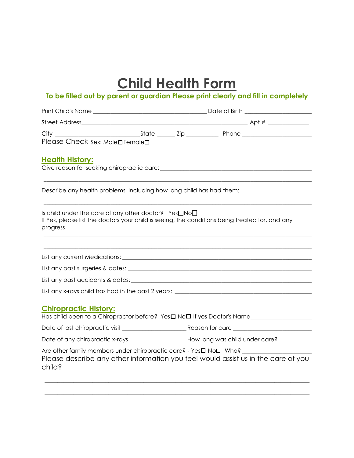## **Child Health Form**

## **To be filled out by parent or guardian Please print clearly and fill in completely**

| Please Check Sex: MalenFemalen                                                                                                                                                          |  |  |  |  |
|-----------------------------------------------------------------------------------------------------------------------------------------------------------------------------------------|--|--|--|--|
| <b>Health History:</b>                                                                                                                                                                  |  |  |  |  |
| Describe any health problems, including how long child has had them: __________________                                                                                                 |  |  |  |  |
| Is child under the care of any other doctor? Yes $\square$ No $\square$<br>If Yes, please list the doctors your child is seeing, the conditions being treated for, and any<br>progress. |  |  |  |  |
|                                                                                                                                                                                         |  |  |  |  |
|                                                                                                                                                                                         |  |  |  |  |
|                                                                                                                                                                                         |  |  |  |  |
|                                                                                                                                                                                         |  |  |  |  |
| <b>Chiropractic History:</b>                                                                                                                                                            |  |  |  |  |
|                                                                                                                                                                                         |  |  |  |  |
| Date of any chiropractic x-rays__________________________How long was child under care? ___________                                                                                     |  |  |  |  |
| Are other family members under chiropractic care? - Yes□ No□ Who?<br>Please describe any other information you feel would assist us in the care of you<br>child?                        |  |  |  |  |

\_\_\_\_\_\_\_\_\_\_\_\_\_\_\_\_\_\_\_\_\_\_\_\_\_\_\_\_\_\_\_\_\_\_\_\_\_\_\_\_\_\_\_\_\_\_\_\_\_\_\_\_\_\_\_\_\_\_\_\_\_\_\_\_\_\_\_\_\_\_\_\_\_\_\_\_\_\_\_\_\_\_\_

\_\_\_\_\_\_\_\_\_\_\_\_\_\_\_\_\_\_\_\_\_\_\_\_\_\_\_\_\_\_\_\_\_\_\_\_\_\_\_\_\_\_\_\_\_\_\_\_\_\_\_\_\_\_\_\_\_\_\_\_\_\_\_\_\_\_\_\_\_\_\_\_\_\_\_\_\_\_\_\_\_\_\_